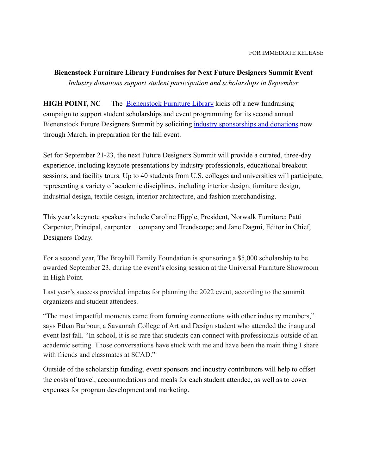**Bienenstock Furniture Library Fundraises for Next Future Designers Summit Event** *Industry donations support student participation and scholarships in September*

**HIGH POINT, NC** — The [Bienenstock Furniture Library](https://www.furniturelibrary.com/inside-bfl/who-we-are/) kicks off a new fundraising campaign to support student scholarships and event programming for its second annual Bienenstock Future Designers Summit by soliciting [industry sponsorships and donations](https://www.furniturelibrary.com/future-designers-summit-2022/) now through March, in preparation for the fall event.

Set for September 21-23, the next Future Designers Summit will provide a curated, three-day experience, including keynote presentations by industry professionals, educational breakout sessions, and facility tours. Up to 40 students from U.S. colleges and universities will participate, representing a variety of academic disciplines, including interior design, furniture design, industrial design, textile design, interior architecture, and fashion merchandising.

This year's keynote speakers include Caroline Hipple, President, Norwalk Furniture; Patti Carpenter, Principal, carpenter + company and Trendscope; and Jane Dagmi, Editor in Chief, Designers Today.

For a second year, The Broyhill Family Foundation is sponsoring a \$5,000 scholarship to be awarded September 23, during the event's closing session at the Universal Furniture Showroom in High Point.

Last year's success provided impetus for planning the 2022 event, according to the summit organizers and student attendees.

"The most impactful moments came from forming connections with other industry members," says Ethan Barbour, a Savannah College of Art and Design student who attended the inaugural event last fall. "In school, it is so rare that students can connect with professionals outside of an academic setting. Those conversations have stuck with me and have been the main thing I share with friends and classmates at SCAD."

Outside of the scholarship funding, event sponsors and industry contributors will help to offset the costs of travel, accommodations and meals for each student attendee, as well as to cover expenses for program development and marketing.